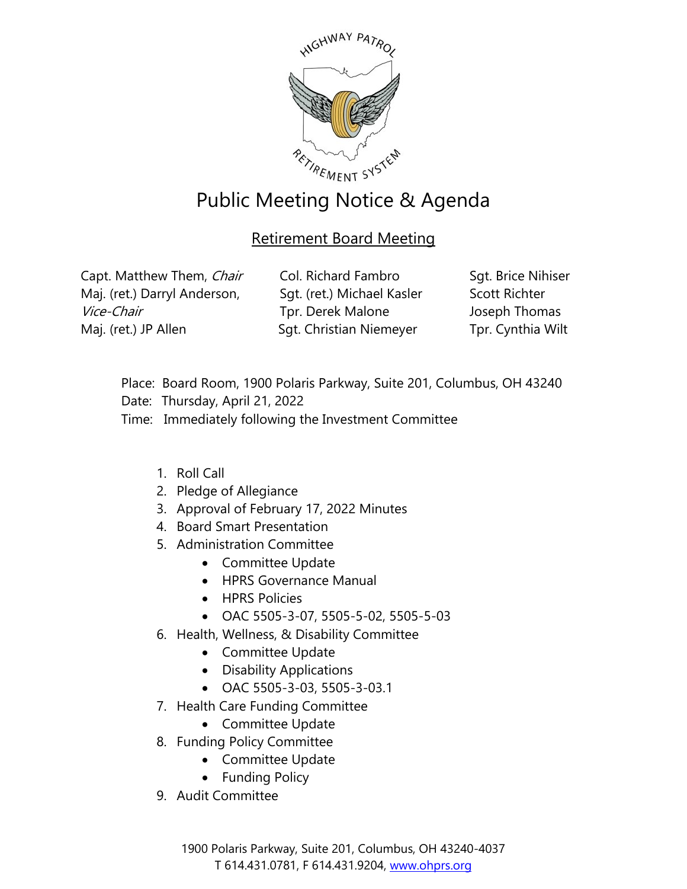

## Public Meeting Notice & Agenda

## Retirement Board Meeting

Capt. Matthew Them, Chair Maj. (ret.) Darryl Anderson, Vice-Chair Maj. (ret.) JP Allen

Col. Richard Fambro Sgt. (ret.) Michael Kasler Tpr. Derek Malone Sgt. Christian Niemeyer

Sgt. Brice Nihiser Scott Richter Joseph Thomas Tpr. Cynthia Wilt

- Place: Board Room, 1900 Polaris Parkway, Suite 201, Columbus, OH 43240
- Date: Thursday, April 21, 2022
- Time: Immediately following the Investment Committee
	- 1. Roll Call
	- 2. Pledge of Allegiance
	- 3. Approval of February 17, 2022 Minutes
	- 4. Board Smart Presentation
	- 5. Administration Committee
		- Committee Update
		- HPRS Governance Manual
		- HPRS Policies
		- OAC 5505-3-07, 5505-5-02, 5505-5-03
	- 6. Health, Wellness, & Disability Committee
		- Committee Update
		- Disability Applications
		- OAC 5505-3-03, 5505-3-03.1
	- 7. Health Care Funding Committee
		- Committee Update
	- 8. Funding Policy Committee
		- Committee Update
		- Funding Policy
	- 9. Audit Committee